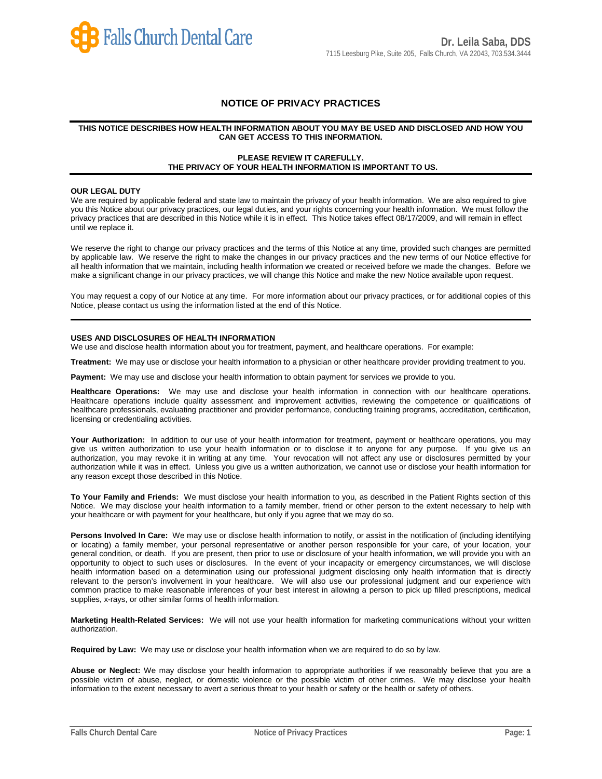

# **NOTICE OF PRIVACY PRACTICES**

### **THIS NOTICE DESCRIBES HOW HEALTH INFORMATION ABOUT YOU MAY BE USED AND DISCLOSED AND HOW YOU CAN GET ACCESS TO THIS INFORMATION.**

## **PLEASE REVIEW IT CAREFULLY. THE PRIVACY OF YOUR HEALTH INFORMATION IS IMPORTANT TO US.**

#### **OUR LEGAL DUTY**

We are required by applicable federal and state law to maintain the privacy of your health information. We are also required to give you this Notice about our privacy practices, our legal duties, and your rights concerning your health information. We must follow the privacy practices that are described in this Notice while it is in effect. This Notice takes effect 08/17/2009, and will remain in effect until we replace it.

We reserve the right to change our privacy practices and the terms of this Notice at any time, provided such changes are permitted by applicable law. We reserve the right to make the changes in our privacy practices and the new terms of our Notice effective for all health information that we maintain, including health information we created or received before we made the changes. Before we make a significant change in our privacy practices, we will change this Notice and make the new Notice available upon request.

You may request a copy of our Notice at any time. For more information about our privacy practices, or for additional copies of this Notice, please contact us using the information listed at the end of this Notice.

### **USES AND DISCLOSURES OF HEALTH INFORMATION**

We use and disclose health information about you for treatment, payment, and healthcare operations. For example:

**Treatment:** We may use or disclose your health information to a physician or other healthcare provider providing treatment to you.

**Payment:** We may use and disclose your health information to obtain payment for services we provide to you.

**Healthcare Operations:** We may use and disclose your health information in connection with our healthcare operations. Healthcare operations include quality assessment and improvement activities, reviewing the competence or qualifications of healthcare professionals, evaluating practitioner and provider performance, conducting training programs, accreditation, certification, licensing or credentialing activities.

Your Authorization: In addition to our use of your health information for treatment, payment or healthcare operations, you may give us written authorization to use your health information or to disclose it to anyone for any purpose. If you give us an authorization, you may revoke it in writing at any time. Your revocation will not affect any use or disclosures permitted by your authorization while it was in effect. Unless you give us a written authorization, we cannot use or disclose your health information for any reason except those described in this Notice.

**To Your Family and Friends:** We must disclose your health information to you, as described in the Patient Rights section of this Notice. We may disclose your health information to a family member, friend or other person to the extent necessary to help with your healthcare or with payment for your healthcare, but only if you agree that we may do so.

Persons Involved In Care: We may use or disclose health information to notify, or assist in the notification of (including identifying or locating) a family member, your personal representative or another person responsible for your care, of your location, your general condition, or death. If you are present, then prior to use or disclosure of your health information, we will provide you with an opportunity to object to such uses or disclosures. In the event of your incapacity or emergency circumstances, we will disclose health information based on a determination using our professional judgment disclosing only health information that is directly relevant to the person's involvement in your healthcare. We will also use our professional judgment and our experience with common practice to make reasonable inferences of your best interest in allowing a person to pick up filled prescriptions, medical supplies, x-rays, or other similar forms of health information.

**Marketing Health-Related Services:** We will not use your health information for marketing communications without your written authorization.

**Required by Law:** We may use or disclose your health information when we are required to do so by law.

**Abuse or Neglect:** We may disclose your health information to appropriate authorities if we reasonably believe that you are a possible victim of abuse, neglect, or domestic violence or the possible victim of other crimes. We may disclose your health information to the extent necessary to avert a serious threat to your health or safety or the health or safety of others.